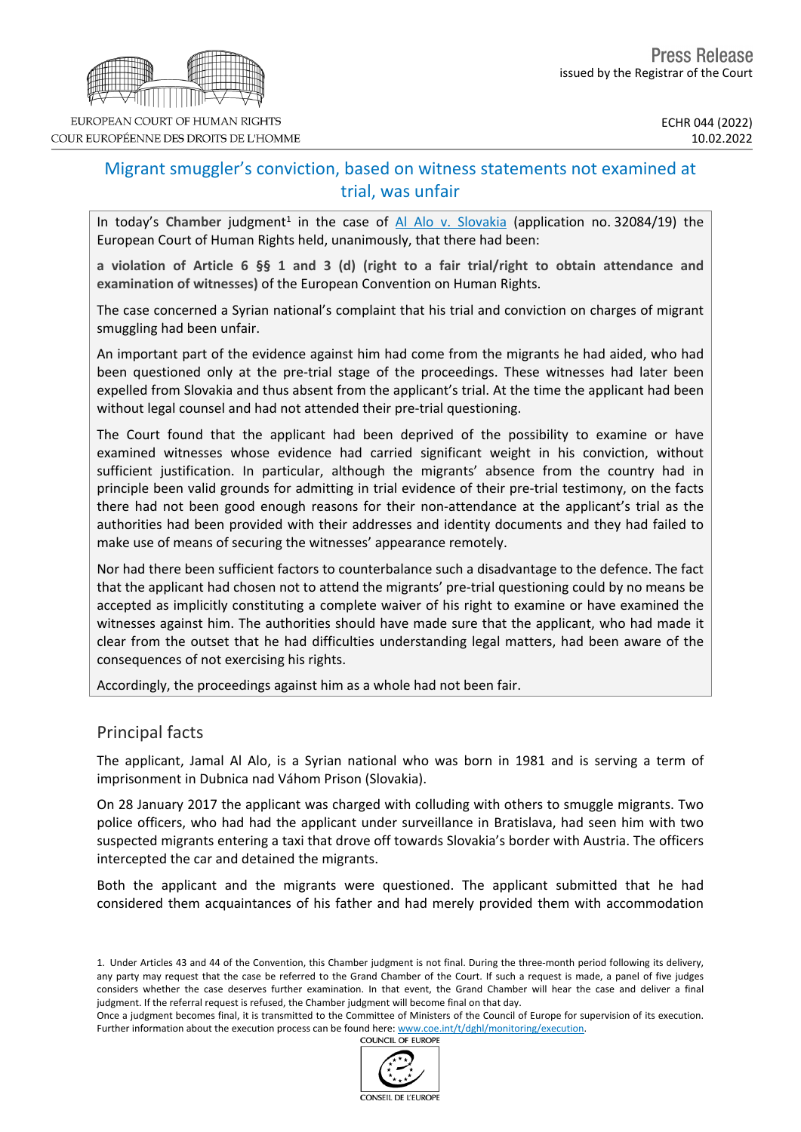

# Migrant smuggler's conviction, based on witness statements not examined at trial, was unfair

In today's Chamber judgment<sup>1</sup> in the case of Al Alo v. [Slovakia](https://hudoc.echr.coe.int/eng/?i=001-215746) (application no. 32084/19) the European Court of Human Rights held, unanimously, that there had been:

a violation of Article 6 §§ 1 and 3 (d) (right to a fair trial/right to obtain attendance and **examination of witnesses)** of the European Convention on Human Rights.

The case concerned a Syrian national's complaint that his trial and conviction on charges of migrant smuggling had been unfair.

An important part of the evidence against him had come from the migrants he had aided, who had been questioned only at the pre-trial stage of the proceedings. These witnesses had later been expelled from Slovakia and thus absent from the applicant's trial. At the time the applicant had been without legal counsel and had not attended their pre-trial questioning.

The Court found that the applicant had been deprived of the possibility to examine or have examined witnesses whose evidence had carried significant weight in his conviction, without sufficient justification. In particular, although the migrants' absence from the country had in principle been valid grounds for admitting in trial evidence of their pre-trial testimony, on the facts there had not been good enough reasons for their non-attendance at the applicant's trial as the authorities had been provided with their addresses and identity documents and they had failed to make use of means of securing the witnesses' appearance remotely.

Nor had there been sufficient factors to counterbalance such a disadvantage to the defence. The fact that the applicant had chosen not to attend the migrants' pre-trial questioning could by no means be accepted as implicitly constituting a complete waiver of his right to examine or have examined the witnesses against him. The authorities should have made sure that the applicant, who had made it clear from the outset that he had difficulties understanding legal matters, had been aware of the consequences of not exercising his rights.

Accordingly, the proceedings against him as a whole had not been fair.

# Principal facts

The applicant, Jamal Al Alo, is a Syrian national who was born in 1981 and is serving a term of imprisonment in Dubnica nad Váhom Prison (Slovakia).

On 28 January 2017 the applicant was charged with colluding with others to smuggle migrants. Two police officers, who had had the applicant under surveillance in Bratislava, had seen him with two suspected migrants entering a taxi that drove off towards Slovakia's border with Austria. The officers intercepted the car and detained the migrants.

Both the applicant and the migrants were questioned. The applicant submitted that he had considered them acquaintances of his father and had merely provided them with accommodation

Once a judgment becomes final, it is transmitted to the Committee of Ministers of the Council of Europe for supervision of its execution. Further information about the execution process can be found here: [www.coe.int/t/dghl/monitoring/execution](http://www.coe.int/t/dghl/monitoring/execution). **COUNCIL OF EUROPE** 



<sup>1.</sup> Under Articles 43 and 44 of the Convention, this Chamber judgment is not final. During the three-month period following its delivery, any party may request that the case be referred to the Grand Chamber of the Court. If such a request is made, a panel of five judges considers whether the case deserves further examination. In that event, the Grand Chamber will hear the case and deliver a final judgment. If the referral request is refused, the Chamber judgment will become final on that day.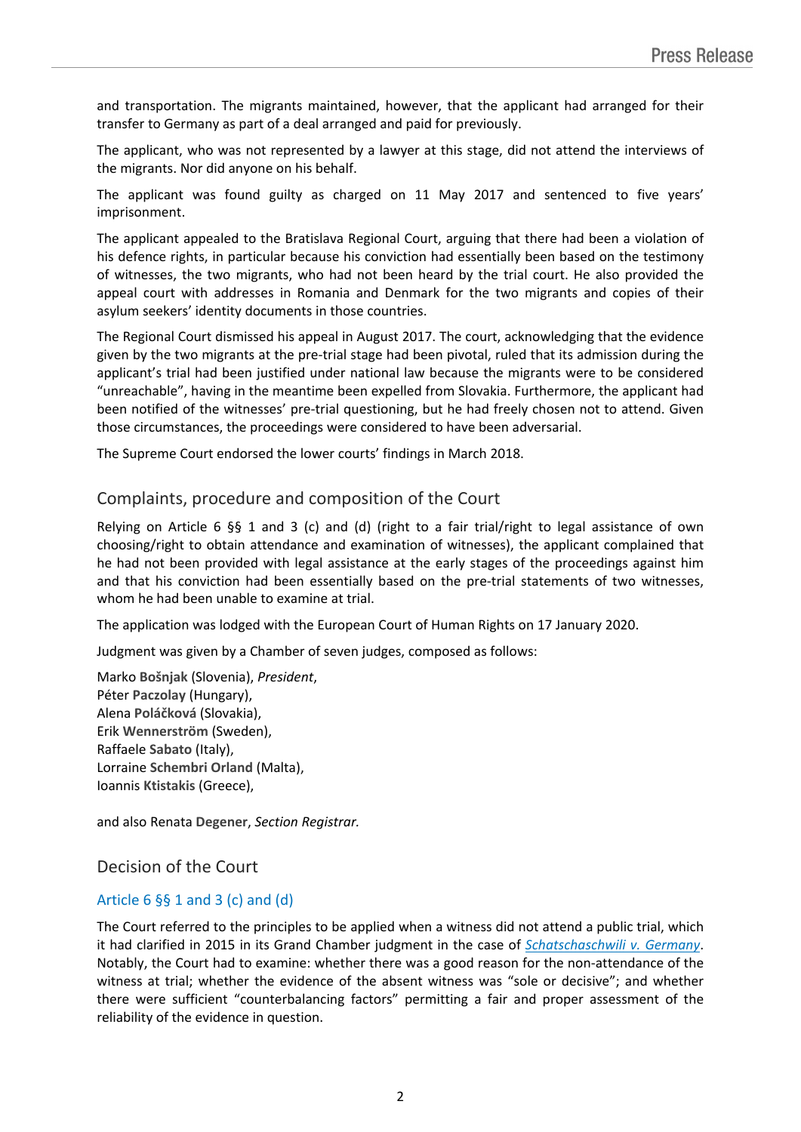and transportation. The migrants maintained, however, that the applicant had arranged for their transfer to Germany as part of a deal arranged and paid for previously.

The applicant, who was not represented by a lawyer at this stage, did not attend the interviews of the migrants. Nor did anyone on his behalf.

The applicant was found guilty as charged on 11 May 2017 and sentenced to five years' imprisonment.

The applicant appealed to the Bratislava Regional Court, arguing that there had been a violation of his defence rights, in particular because his conviction had essentially been based on the testimony of witnesses, the two migrants, who had not been heard by the trial court. He also provided the appeal court with addresses in Romania and Denmark for the two migrants and copies of their asylum seekers' identity documents in those countries.

The Regional Court dismissed his appeal in August 2017. The court, acknowledging that the evidence given by the two migrants at the pre-trial stage had been pivotal, ruled that its admission during the applicant's trial had been justified under national law because the migrants were to be considered "unreachable", having in the meantime been expelled from Slovakia. Furthermore, the applicant had been notified of the witnesses' pre-trial questioning, but he had freely chosen not to attend. Given those circumstances, the proceedings were considered to have been adversarial.

The Supreme Court endorsed the lower courts' findings in March 2018.

## Complaints, procedure and composition of the Court

Relying on Article 6 §§ 1 and 3 (c) and (d) (right to a fair trial/right to legal assistance of own choosing/right to obtain attendance and examination of witnesses), the applicant complained that he had not been provided with legal assistance at the early stages of the proceedings against him and that his conviction had been essentially based on the pre-trial statements of two witnesses, whom he had been unable to examine at trial.

The application was lodged with the European Court of Human Rights on 17 January 2020.

Judgment was given by a Chamber of seven judges, composed as follows:

Marko **Bošnjak** (Slovenia), *President*, Péter **Paczolay** (Hungary), Alena **Poláčková** (Slovakia), Erik **Wennerström** (Sweden), Raffaele **Sabato** (Italy), Lorraine **Schembri Orland** (Malta), Ioannis **Ktistakis** (Greece),

and also Renata **Degener**, *Section Registrar.*

Decision of the Court

### Article  $6 \frac{6}{5} 1$  and  $3$  (c) and (d)

The Court referred to the principles to be applied when a witness did not attend a public trial, which it had clarified in 2015 in its Grand Chamber judgment in the case of *[Schatschaschwili](https://hudoc.echr.coe.int/eng?i=003-5255962-6525171) v. Germany*. Notably, the Court had to examine: whether there was a good reason for the non-attendance of the witness at trial; whether the evidence of the absent witness was "sole or decisive"; and whether there were sufficient "counterbalancing factors" permitting a fair and proper assessment of the reliability of the evidence in question.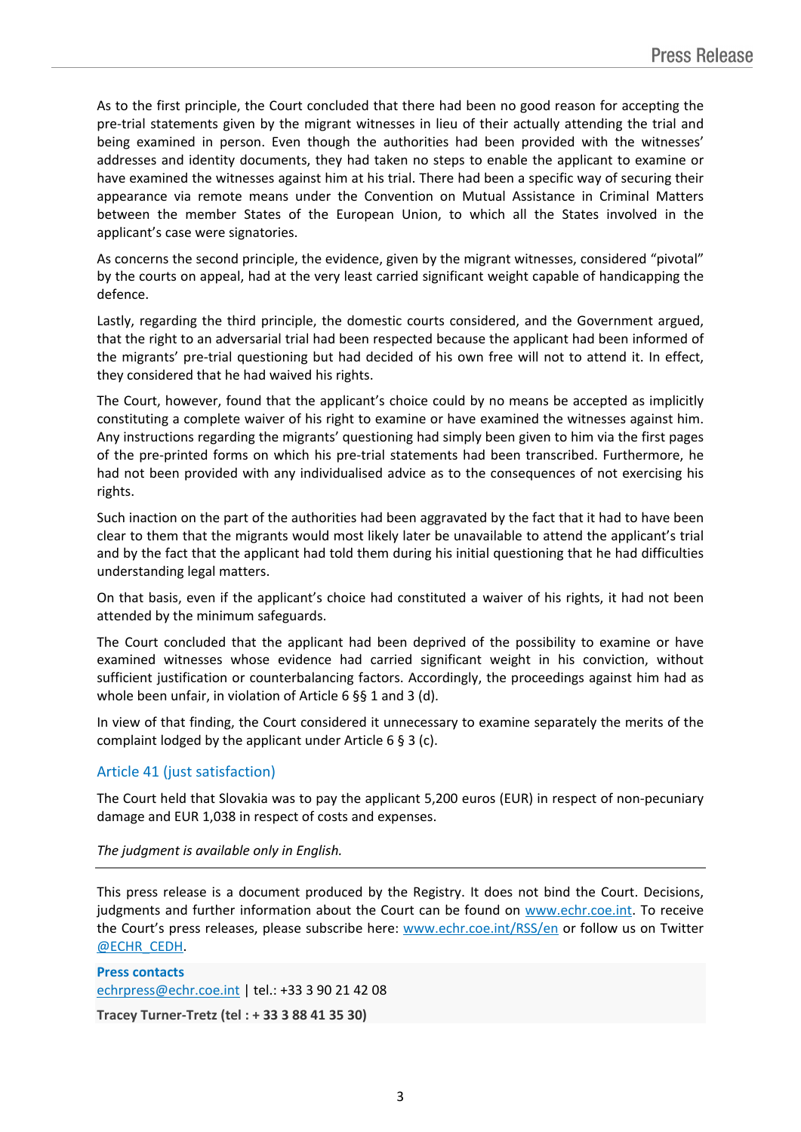As to the first principle, the Court concluded that there had been no good reason for accepting the pre-trial statements given by the migrant witnesses in lieu of their actually attending the trial and being examined in person. Even though the authorities had been provided with the witnesses' addresses and identity documents, they had taken no steps to enable the applicant to examine or have examined the witnesses against him at his trial. There had been a specific way of securing their appearance via remote means under the Convention on Mutual Assistance in Criminal Matters between the member States of the European Union, to which all the States involved in the applicant's case were signatories.

As concerns the second principle, the evidence, given by the migrant witnesses, considered "pivotal" by the courts on appeal, had at the very least carried significant weight capable of handicapping the defence.

Lastly, regarding the third principle, the domestic courts considered, and the Government argued, that the right to an adversarial trial had been respected because the applicant had been informed of the migrants' pre-trial questioning but had decided of his own free will not to attend it. In effect, they considered that he had waived his rights.

The Court, however, found that the applicant's choice could by no means be accepted as implicitly constituting a complete waiver of his right to examine or have examined the witnesses against him. Any instructions regarding the migrants' questioning had simply been given to him via the first pages of the pre-printed forms on which his pre-trial statements had been transcribed. Furthermore, he had not been provided with any individualised advice as to the consequences of not exercising his rights.

Such inaction on the part of the authorities had been aggravated by the fact that it had to have been clear to them that the migrants would most likely later be unavailable to attend the applicant's trial and by the fact that the applicant had told them during his initial questioning that he had difficulties understanding legal matters.

On that basis, even if the applicant's choice had constituted a waiver of his rights, it had not been attended by the minimum safeguards.

The Court concluded that the applicant had been deprived of the possibility to examine or have examined witnesses whose evidence had carried significant weight in his conviction, without sufficient justification or counterbalancing factors. Accordingly, the proceedings against him had as whole been unfair, in violation of Article 6 §§ 1 and 3 (d).

In view of that finding, the Court considered it unnecessary to examine separately the merits of the complaint lodged by the applicant under Article 6 § 3 (c).

### Article 41 (just satisfaction)

The Court held that Slovakia was to pay the applicant 5,200 euros (EUR) in respect of non-pecuniary damage and EUR 1,038 in respect of costs and expenses.

#### *The judgment is available only in English.*

This press release is a document produced by the Registry. It does not bind the Court. Decisions, judgments and further information about the Court can be found on [www.echr.coe.int](http://www.echr.coe.int/). To receive the Court's press releases, please subscribe here: [www.echr.coe.int/RSS/en](http://www.echr.coe.int/RSS/en) or follow us on Twitter [@ECHR\\_CEDH](https://twitter.com/ECHR_CEDH).

**Press contacts** [echrpress@echr.coe.int](mailto:Echrpress@echr.coe.int) | tel.: +33 3 90 21 42 08 **Tracey Turner-Tretz (tel : + 33 3 88 41 35 30)**